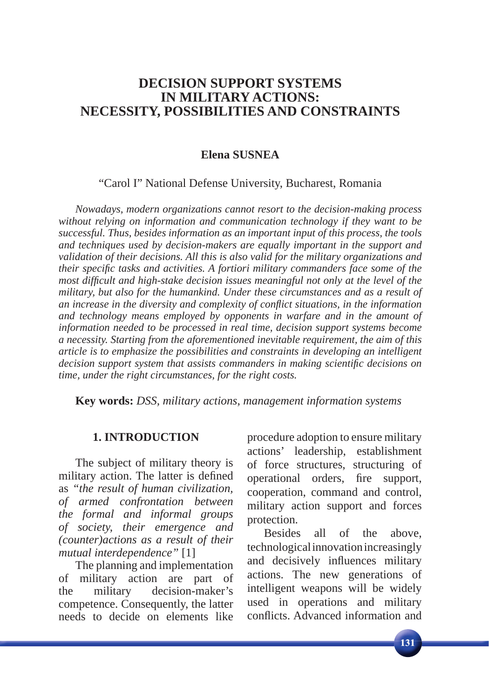## **DECISION SUPPORT SYSTEMS IN MILITARY ACTIONS: NECESSITY, POSSIBILITIES AND CONSTRAINTS**

### **Elena SUSNEA**

#### "Carol I" National Defense University, Bucharest, Romania

*Nowadays, modern organizations cannot resort to the decision-making process without relying on information and communication technology if they want to be successful. Thus, besides information as an important input of this process, the tools and techniques used by decision-makers are equally important in the support and validation of their decisions. All this is also valid for the military organizations and their specifi c tasks and activities. A fortiori military commanders face some of the most diffi cult and high-stake decision issues meaningful not only at the level of the military, but also for the humankind. Under these circumstances and as a result of an increase in the diversity and complexity of confl ict situations, in the information and technology means employed by opponents in warfare and in the amount of information needed to be processed in real time, decision support systems become a necessity. Starting from the aforementioned inevitable requirement, the aim of this article is to emphasize the possibilities and constraints in developing an intelligent decision support system that assists commanders in making scientifi c decisions on time, under the right circumstances, for the right costs.*

**Key words:** *DSS, military actions, management information systems*

#### **1. INTRODUCTION**

The subject of military theory is military action. The latter is defined as *"the result of human civilization, of armed confrontation between the formal and informal groups of society, their emergence and (counter)actions as a result of their mutual interdependence"* [1]

The planning and implementation of military action are part of the military decision-maker's competence. Consequently, the latter needs to decide on elements like

procedure adoption to ensure military actions' leadership, establishment of force structures, structuring of operational orders, fire support, cooperation, command and control, military action support and forces protection.

Besides all of the above, technological innovation increasingly and decisively influences military actions. The new generations of intelligent weapons will be widely used in operations and military conflicts. Advanced information and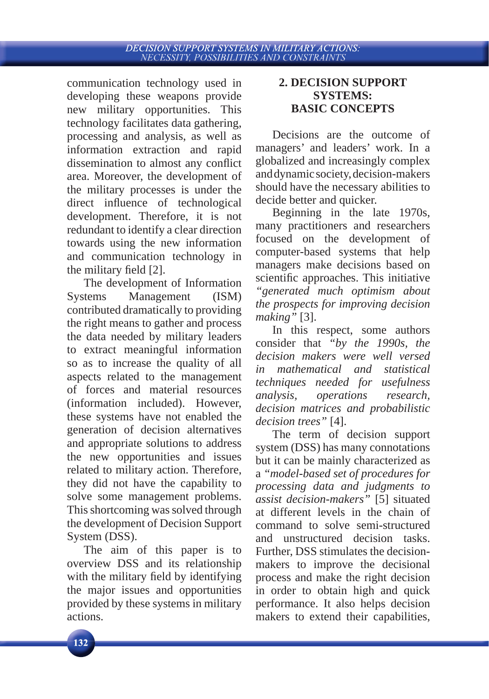communication technology used in developing these weapons provide new military opportunities. This technology facilitates data gathering, processing and analysis, as well as information extraction and rapid dissemination to almost any conflict area. Moreover, the development of the military processes is under the direct influence of technological development. Therefore, it is not redundant to identify a clear direction towards using the new information and communication technology in the military field [2].

The development of Information Systems Management (ISM) contributed dramatically to providing the right means to gather and process the data needed by military leaders to extract meaningful information so as to increase the quality of all aspects related to the management of forces and material resources (information included). However, these systems have not enabled the generation of decision alternatives and appropriate solutions to address the new opportunities and issues related to military action. Therefore, they did not have the capability to solve some management problems. This shortcoming was solved through the development of Decision Support System (DSS).

The aim of this paper is to overview DSS and its relationship with the military field by identifying the major issues and opportunities provided by these systems in military actions.

## **2. DECISION SUPPORT SYSTEMS: BASIC CONCEPTS**

Decisions are the outcome of managers' and leaders' work. In a globalized and increasingly complex and dynamic society, decision-makers should have the necessary abilities to decide better and quicker.

Beginning in the late 1970s, many practitioners and researchers focused on the development of computer-based systems that help managers make decisions based on scientific approaches. This initiative *"generated much optimism about the prospects for improving decision making"* [3].

In this respect, some authors consider that *"by the 1990s, the decision makers were well versed in mathematical and statistical techniques needed for usefulness analysis, operations research, decision matrices and probabilistic decision trees"* [4].

The term of decision support system (DSS) has many connotations but it can be mainly characterized as a *"model-based set of procedures for processing data and judgments to assist decision-makers"* [5] situated at different levels in the chain of command to solve semi-structured and unstructured decision tasks. Further, DSS stimulates the decisionmakers to improve the decisional process and make the right decision in order to obtain high and quick performance. It also helps decision makers to extend their capabilities,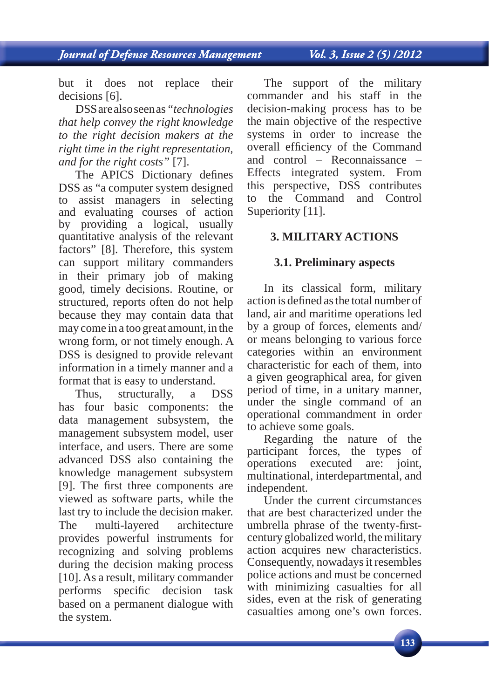Vol. 3, Issue 2 (5) /2012

but it does not replace their decisions [6].

DSS are also seen as *"technologies that help convey the right knowledge to the right decision makers at the right time in the right representation, and for the right costs"* [7].

The APICS Dictionary defines DSS as "a computer system designed to assist managers in selecting and evaluating courses of action by providing a logical, usually quantitative analysis of the relevant factors" [8]. Therefore, this system can support military commanders in their primary job of making good, timely decisions. Routine, or structured, reports often do not help because they may contain data that may come in a too great amount, in the wrong form, or not timely enough. A DSS is designed to provide relevant information in a timely manner and a format that is easy to understand.

Thus, structurally, a DSS has four basic components: the data management subsystem, the management subsystem model, user interface, and users. There are some advanced DSS also containing the knowledge management subsystem [9]. The first three components are viewed as software parts, while the last try to include the decision maker. The multi-layered architecture provides powerful instruments for recognizing and solving problems during the decision making process [10]. As a result, military commander performs specific decision task based on a permanent dialogue with the system.

The support of the military commander and his staff in the decision-making process has to be the main objective of the respective systems in order to increase the overall efficiency of the Command and control – Reconnaissance – Effects integrated system. From this perspective, DSS contributes to the Command and Control Superiority [11].

## **3. MILITARY ACTIONS**

### **3.1. Preliminary aspects**

In its classical form, military action is defined as the total number of land, air and maritime operations led by a group of forces, elements and/ or means belonging to various force categories within an environment characteristic for each of them, into a given geographical area, for given period of time, in a unitary manner, under the single command of an operational commandment in order to achieve some goals.

Regarding the nature of the participant forces, the types of operations executed are: joint, multinational, interdepartmental, and independent.

Under the current circumstances that are best characterized under the umbrella phrase of the twenty-firstcentury globalized world, the military action acquires new characteristics. Consequently, nowadays it resembles police actions and must be concerned with minimizing casualties for all sides, even at the risk of generating casualties among one's own forces.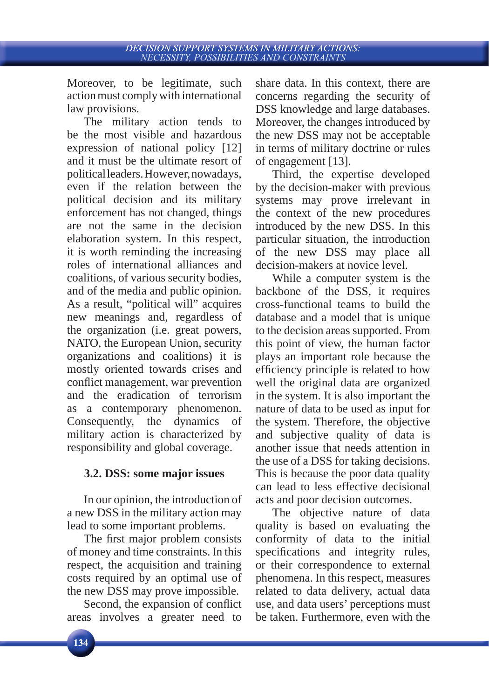Moreover, to be legitimate, such action must comply with international law provisions.

The military action tends to be the most visible and hazardous expression of national policy [12] and it must be the ultimate resort of political leaders. However, nowadays, even if the relation between the political decision and its military enforcement has not changed, things are not the same in the decision elaboration system. In this respect, it is worth reminding the increasing roles of international alliances and coalitions, of various security bodies, and of the media and public opinion. As a result, "political will" acquires new meanings and, regardless of the organization (i.e. great powers, NATO, the European Union, security organizations and coalitions) it is mostly oriented towards crises and conflict management, war prevention and the eradication of terrorism as a contemporary phenomenon. Consequently, the dynamics of military action is characterized by responsibility and global coverage.

## **3.2. DSS: some major issues**

In our opinion, the introduction of a new DSS in the military action may lead to some important problems.

The first major problem consists of money and time constraints. In this respect, the acquisition and training costs required by an optimal use of the new DSS may prove impossible.

Second, the expansion of conflict areas involves a greater need to share data. In this context, there are concerns regarding the security of DSS knowledge and large databases. Moreover, the changes introduced by the new DSS may not be acceptable in terms of military doctrine or rules of engagement [13].

Third, the expertise developed by the decision-maker with previous systems may prove irrelevant in the context of the new procedures introduced by the new DSS. In this particular situation, the introduction of the new DSS may place all decision-makers at novice level.

While a computer system is the backbone of the DSS, it requires cross-functional teams to build the database and a model that is unique to the decision areas supported. From this point of view, the human factor plays an important role because the efficiency principle is related to how well the original data are organized in the system. It is also important the nature of data to be used as input for the system. Therefore, the objective and subjective quality of data is another issue that needs attention in the use of a DSS for taking decisions. This is because the poor data quality can lead to less effective decisional acts and poor decision outcomes.

The objective nature of data quality is based on evaluating the conformity of data to the initial specifications and integrity rules, or their correspondence to external phenomena. In this respect, measures related to data delivery, actual data use, and data users' perceptions must be taken. Furthermore, even with the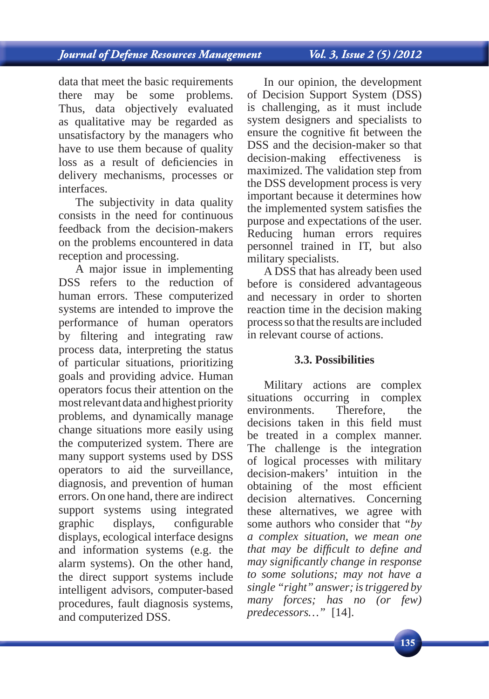data that meet the basic requirements there may be some problems. Thus, data objectively evaluated as qualitative may be regarded as unsatisfactory by the managers who have to use them because of quality loss as a result of deficiencies in delivery mechanisms, processes or interfaces.

The subjectivity in data quality consists in the need for continuous feedback from the decision-makers on the problems encountered in data reception and processing.

A major issue in implementing DSS refers to the reduction of human errors. These computerized systems are intended to improve the performance of human operators by filtering and integrating raw process data, interpreting the status of particular situations, prioritizing goals and providing advice. Human operators focus their attention on the most relevant data and highest priority problems, and dynamically manage change situations more easily using the computerized system. There are many support systems used by DSS operators to aid the surveillance, diagnosis, and prevention of human errors. On one hand, there are indirect support systems using integrated graphic displays, configurable displays, ecological interface designs and information systems (e.g. the alarm systems). On the other hand, the direct support systems include intelligent advisors, computer-based procedures, fault diagnosis systems, and computerized DSS.

In our opinion, the development of Decision Support System (DSS) is challenging, as it must include system designers and specialists to ensure the cognitive fit between the DSS and the decision-maker so that decision-making effectiveness is maximized. The validation step from the DSS development process is very important because it determines how the implemented system satisfies the purpose and expectations of the user. Reducing human errors requires personnel trained in IT, but also military specialists.

A DSS that has already been used before is considered advantageous and necessary in order to shorten reaction time in the decision making process so that the results are included in relevant course of actions.

#### **3.3. Possibilities**

Military actions are complex situations occurring in complex environments. Therefore, the decisions taken in this field must be treated in a complex manner. The challenge is the integration of logical processes with military decision-makers' intuition in the obtaining of the most efficient decision alternatives. Concerning these alternatives, we agree with some authors who consider that *"by a complex situation, we mean one that may be difficult to define and may signifi cantly change in response to some solutions; may not have a single "right" answer; is triggered by many forces; has no (or few) predecessors…"* [14].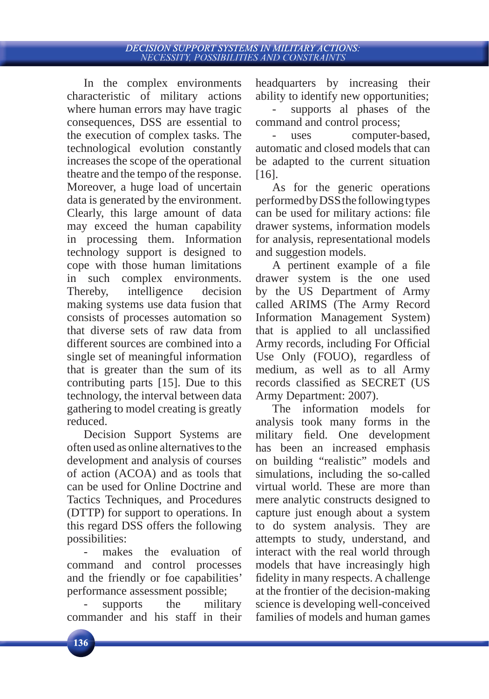# DECISION SUPPORT SYSTEMS IN MILITARY ACTIONS:<br>NECESSITY, POSSIBILITIES AND CONSTRAINTS

In the complex environments characteristic of military actions where human errors may have tragic consequences, DSS are essential to the execution of complex tasks. The technological evolution constantly increases the scope of the operational theatre and the tempo of the response. Moreover, a huge load of uncertain data is generated by the environment. Clearly, this large amount of data may exceed the human capability in processing them. Information technology support is designed to cope with those human limitations in such complex environments. Thereby, intelligence decision making systems use data fusion that consists of processes automation so that diverse sets of raw data from different sources are combined into a single set of meaningful information that is greater than the sum of its contributing parts [15]. Due to this technology, the interval between data gathering to model creating is greatly reduced.

Decision Support Systems are often used as online alternatives to the development and analysis of courses of action (ACOA) and as tools that can be used for Online Doctrine and Tactics Techniques, and Procedures (DTTP) for support to operations. In this regard DSS offers the following possibilities:

makes the evaluation of command and control processes and the friendly or foe capabilities' performance assessment possible;

- supports the military commander and his staff in their headquarters by increasing their ability to identify new opportunities;

- supports al phases of the command and control process;

uses computer-based, automatic and closed models that can be adapted to the current situation [16].

As for the generic operations performed by DSS the following types can be used for military actions: file drawer systems, information models for analysis, representational models and suggestion models.

A pertinent example of a file drawer system is the one used by the US Department of Army called ARIMS (The Army Record Information Management System) that is applied to all unclassified Army records, including For Official Use Only (FOUO), regardless of medium, as well as to all Army records classified as SECRET (US Army Department: 2007).

The information models for analysis took many forms in the military field. One development has been an increased emphasis on building "realistic" models and simulations, including the so-called virtual world. These are more than mere analytic constructs designed to capture just enough about a system to do system analysis. They are attempts to study, understand, and interact with the real world through models that have increasingly high fidelity in many respects. A challenge at the frontier of the decision-making science is developing well-conceived families of models and human games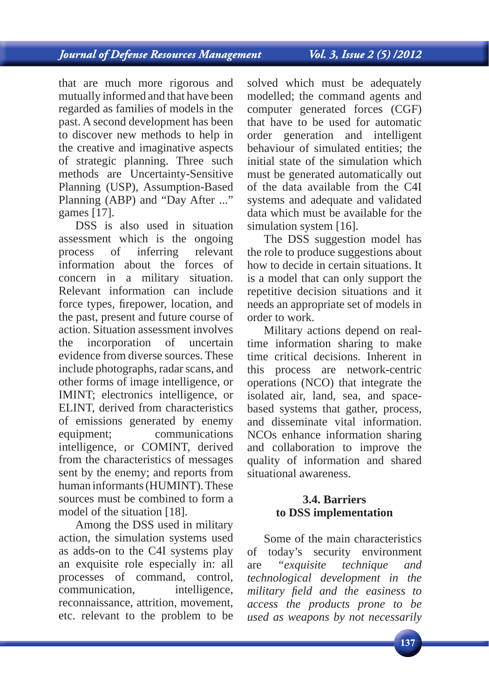that are much more rigorous and mutually informed and that have been regarded as families of models in the past. A second development has been to discover new methods to help in the creative and imaginative aspects of strategic planning. Three such methods are Uncertainty-Sensitive Planning (USP), Assumption-Based Planning (ABP) and "Day After ..." games [17].

DSS is also used in situation assessment which is the ongoing process of inferring relevant information about the forces of concern in a military situation. Relevant information can include force types, firepower, location, and the past, present and future course of action. Situation assessment involves the incorporation of uncertain evidence from diverse sources. These include photographs, radar scans, and other forms of image intelligence, or IMINT; electronics intelligence, or ELINT, derived from characteristics of emissions generated by enemy equipment; communications intelligence, or COMINT, derived from the characteristics of messages sent by the enemy; and reports from human informants (HUMINT). These sources must be combined to form a model of the situation [18].

Among the DSS used in military action, the simulation systems used as adds-on to the C4I systems play an exquisite role especially in: all processes of command, control, communication, intelligence, reconnaissance, attrition, movement, etc. relevant to the problem to be

solved which must be adequately modelled; the command agents and computer generated forces (CGF) that have to be used for automatic order generation and intelligent behaviour of simulated entities; the initial state of the simulation which must be generated automatically out of the data available from the C4I systems and adequate and validated data which must be available for the simulation system [16].

The DSS suggestion model has the role to produce suggestions about how to decide in certain situations. It is a model that can only support the repetitive decision situations and it needs an appropriate set of models in order to work.

Military actions depend on realtime information sharing to make time critical decisions. Inherent in this process are network-centric operations (NCO) that integrate the isolated air, land, sea, and spacebased systems that gather, process, and disseminate vital information. NCOs enhance information sharing and collaboration to improve the quality of information and shared situational awareness.

## **3.4. Barriers to DSS implementation**

Some of the main characteristics of today's security environment are *"exquisite technique and technological development in the military fi eld and the easiness to access the products prone to be used as weapons by not necessarily*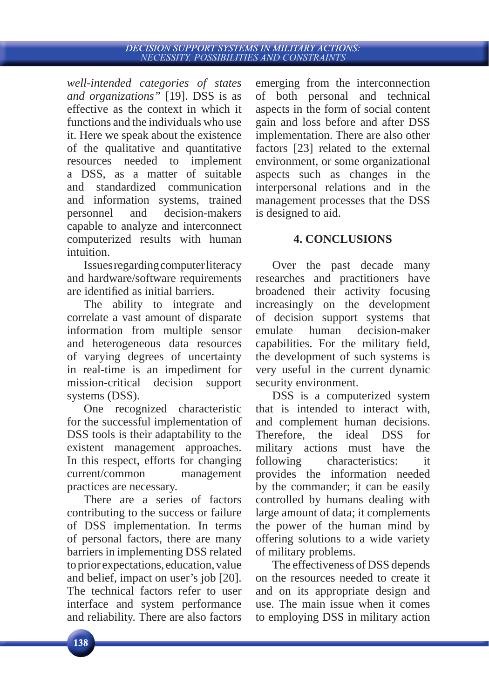# DECISION SUPPORT SYSTEMS IN MILITARY ACTIONS:<br>NECESSITY, POSSIBILITIES AND CONSTRAINTS

*well-intended categories of states and organizations"* [19]. DSS is as effective as the context in which it functions and the individuals who use it. Here we speak about the existence of the qualitative and quantitative resources needed to implement a DSS, as a matter of suitable and standardized communication and information systems, trained personnel and decision-makers capable to analyze and interconnect computerized results with human intuition.

Issues regarding computer literacy and hardware/software requirements are identified as initial barriers.

The ability to integrate and correlate a vast amount of disparate information from multiple sensor and heterogeneous data resources of varying degrees of uncertainty in real-time is an impediment for mission-critical decision support systems (DSS).

One recognized characteristic for the successful implementation of DSS tools is their adaptability to the existent management approaches. In this respect, efforts for changing current/common management practices are necessary.

There are a series of factors contributing to the success or failure of DSS implementation. In terms of personal factors, there are many barriers in implementing DSS related to prior expectations, education, value and belief, impact on user's job [20]. The technical factors refer to user interface and system performance and reliability. There are also factors emerging from the interconnection of both personal and technical aspects in the form of social content gain and loss before and after DSS implementation. There are also other factors [23] related to the external environment, or some organizational aspects such as changes in the interpersonal relations and in the management processes that the DSS is designed to aid.

## **4. CONCLUSIONS**

Over the past decade many researches and practitioners have broadened their activity focusing increasingly on the development of decision support systems that emulate human decision-maker capabilities. For the military field, the development of such systems is very useful in the current dynamic security environment.

DSS is a computerized system that is intended to interact with, and complement human decisions. Therefore, the ideal DSS for military actions must have the following characteristics: it provides the information needed by the commander; it can be easily controlled by humans dealing with large amount of data; it complements the power of the human mind by offering solutions to a wide variety of military problems.

The effectiveness of DSS depends on the resources needed to create it and on its appropriate design and use. The main issue when it comes to employing DSS in military action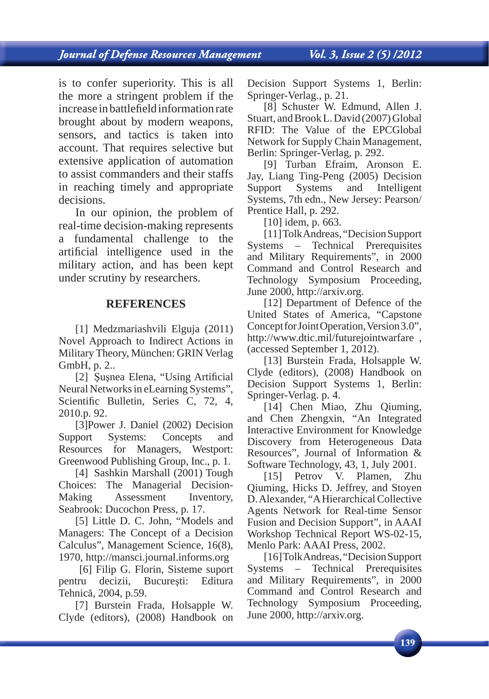is to confer superiority. This is all the more a stringent problem if the increase in battlefield information rate brought about by modern weapons, sensors, and tactics is taken into account. That requires selective but extensive application of automation to assist commanders and their staffs in reaching timely and appropriate decisions.

In our opinion, the problem of real-time decision-making represents a fundamental challenge to the artificial intelligence used in the military action, and has been kept under scrutiny by researchers.

#### **REFERENCES**

[1] Medzmariashvili Elguja (2011) Novel Approach to Indirect Actions in Military Theory, München: GRIN Verlag GmbH, p. 2..

[2] Sușnea Elena, "Using Artificial Neural Networks in eLearning Systems", Scientific Bulletin, Series C, 72, 4, 2010.p. 92.

[3]Power J. Daniel (2002) Decision Support Systems: Concepts and Resources for Managers, Westport: Greenwood Publishing Group, Inc., p. 1.

[4] Sashkin Marshall (2001) Tough Choices: The Managerial Decision-Making Assessment Inventory, Seabrook: Ducochon Press, p. 17.

[5] Little D. C. John, "Models and Managers: The Concept of a Decision Calculus", Management Science, 16(8), 1970, http://mansci.journal.informs.org

 [6] Filip G. Florin, Sisteme suport pentru decizii, Bucureşti: Editura Tehnică, 2004, p.59.

[7] Burstein Frada, Holsapple W. Clyde (editors), (2008) Handbook on Decision Support Systems 1, Berlin: Springer-Verlag., p. 21.

[8] Schuster W. Edmund, Allen J. Stuart, and Brook L. David (2007) Global RFID: The Value of the EPCGlobal Network for Supply Chain Management, Berlin: Springer-Verlag, p. 292.

[9] Turban Efraim, Aronson E. Jay, Liang Ting-Peng (2005) Decision Support Systems and Intelligent Systems, 7th edn., New Jersey: Pearson/ Prentice Hall, p. 292.

[10] idem, p. 663.

[11] Tolk Andreas, "Decision Support Systems – Technical Prerequisites and Military Requirements", in 2000 Command and Control Research and Technology Symposium Proceeding, June 2000, http://arxiv.org.

[12] Department of Defence of the United States of America, "Capstone Concept for Joint Operation, Version 3.0", http://www.dtic.mil/futurejointwarfare , (accessed September 1, 2012).

[13] Burstein Frada, Holsapple W. Clyde (editors), (2008) Handbook on Decision Support Systems 1, Berlin: Springer-Verlag. p. 4.

[14] Chen Miao, Zhu Qiuming, and Chen Zhengxin, "An Integrated Interactive Environment for Knowledge Discovery from Heterogeneous Data Resources", Journal of Information & Software Technology, 43, 1, July 2001.

[15] Petrov V. Plamen, Zhu Qiuming, Hicks D. Jeffrey, and Stoyen D. Alexander, "A Hierarchical Collective Agents Network for Real-time Sensor Fusion and Decision Support", in AAAI Workshop Technical Report WS-02-15, Menlo Park: AAAI Press, 2002.

[16] Tolk Andreas, "Decision Support Systems – Technical Prerequisites and Military Requirements", in 2000 Command and Control Research and Technology Symposium Proceeding, June 2000, http://arxiv.org.